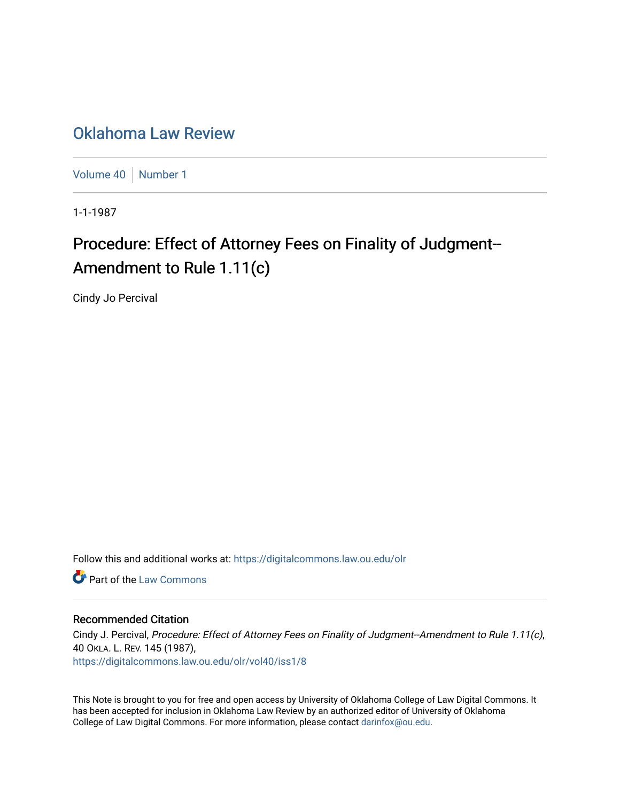## [Oklahoma Law Review](https://digitalcommons.law.ou.edu/olr)

[Volume 40](https://digitalcommons.law.ou.edu/olr/vol40) | [Number 1](https://digitalcommons.law.ou.edu/olr/vol40/iss1)

1-1-1987

# Procedure: Effect of Attorney Fees on Finality of Judgment--Amendment to Rule 1.11(c)

Cindy Jo Percival

Follow this and additional works at: [https://digitalcommons.law.ou.edu/olr](https://digitalcommons.law.ou.edu/olr?utm_source=digitalcommons.law.ou.edu%2Folr%2Fvol40%2Fiss1%2F8&utm_medium=PDF&utm_campaign=PDFCoverPages)

**C** Part of the [Law Commons](http://network.bepress.com/hgg/discipline/578?utm_source=digitalcommons.law.ou.edu%2Folr%2Fvol40%2Fiss1%2F8&utm_medium=PDF&utm_campaign=PDFCoverPages)

#### Recommended Citation

Cindy J. Percival, Procedure: Effect of Attorney Fees on Finality of Judgment--Amendment to Rule 1.11(c), 40 OKLA. L. REV. 145 (1987), [https://digitalcommons.law.ou.edu/olr/vol40/iss1/8](https://digitalcommons.law.ou.edu/olr/vol40/iss1/8?utm_source=digitalcommons.law.ou.edu%2Folr%2Fvol40%2Fiss1%2F8&utm_medium=PDF&utm_campaign=PDFCoverPages) 

This Note is brought to you for free and open access by University of Oklahoma College of Law Digital Commons. It has been accepted for inclusion in Oklahoma Law Review by an authorized editor of University of Oklahoma College of Law Digital Commons. For more information, please contact [darinfox@ou.edu.](mailto:darinfox@ou.edu)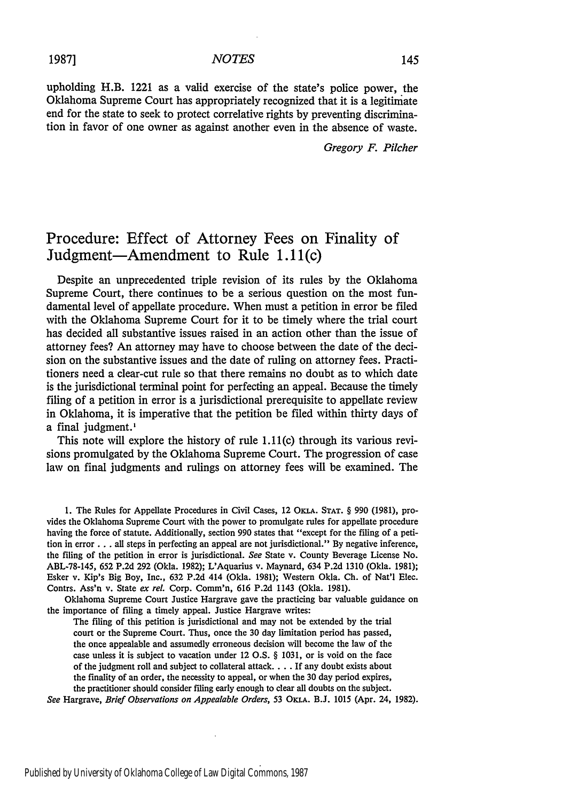upholding H.B. 1221 as a valid exercise of the state's police power, the Oklahoma Supreme Court has appropriately recognized that it is a legitimate end for the state to seek to protect correlative rights **by** preventing discrimination in favor of one owner as against another even in the absence of waste.

*Gregory F. Pilcher*

### Procedure: Effect **of** Attorney Fees on Finality of Judgment-Amendment to Rule 1.11(c)

Despite an unprecedented triple revision of its rules **by** the Oklahoma Supreme Court, there continues to be a serious question on the most fundamental level of appellate procedure. When must a petition in error be filed with the Oklahoma Supreme Court for it to be timely where the trial court has decided all substantive issues raised in an action other than the issue of attorney fees? An attorney may have to choose between the date of the decision on the substantive issues and the date of ruling on attorney fees. Practitioners need a clear-cut rule so that there remains no doubt as to which date is the jurisdictional terminal point for perfecting an appeal. Because the timely filing of a petition in error is a jurisdictional prerequisite to appellate review in Oklahoma, it is imperative that the petition be filed within thirty days of a final judgment.'

This note will explore the history of rule 1.11(c) through its various revisions promulgated **by** the Oklahoma Supreme Court. The progression of case law on final judgments and rulings on attorney fees will be examined. The

**1.** The Rules for Appellate Procedures in Civil Cases, 12 OKTA. **STAT.** § **990 (1981),** provides the Oklahoma Supreme Court with the power to promulgate rules for appellate procedure having the force of statute. Additionally, section **990** states that "except for the filing of a petition in error **. . .** all steps in perfecting an appeal are not jurisdictional." **By** negative inference, the filing of the petition in error is jurisdictional. *See* State v. County Beverage License No. **ABL-78-145, 652 P.2d 292** (Okla. **1982);** L'Aquarius v. Maynard, 634 **P.2d 1310** (Okla. **1981);** Esker v. Kip's Big Boy, Inc., **632 P.2d** 414 (Okla. **1981);** Western Okla. **Ch.** of Nat'l Elec. Contrs. Ass'n v. State *ex reL* Corp. Comm'n, **616 P.2d** 1143 (Okla. **1981).**

Oklahoma Supreme Court Justice Hargrave gave the practicing bar valuable guidance on the importance of filing a timely appeal. Justice Hargrave writes:

The filing of this petition is jurisdictional and may not be extended **by** the trial court or the Supreme Court. Thus, once the **30** day limitation period has passed, the once appealable and assumedly erroneous decision will become the law of the case unless it is subject to vacation under 12 **O.S.** § **1031,** or is void on the face of the judgment roll and subject to collateral attack **....** If any doubt exists about the finality of an order, the necessity to appeal, or when the **30** day period expires, the practitioner should consider filing early enough to clear all doubts on the subject.

*See* Hargrave, *Brief Observations on Appealable Orders,* 53 **ORA. B.J. 1015** (Apr. 24, **1982).**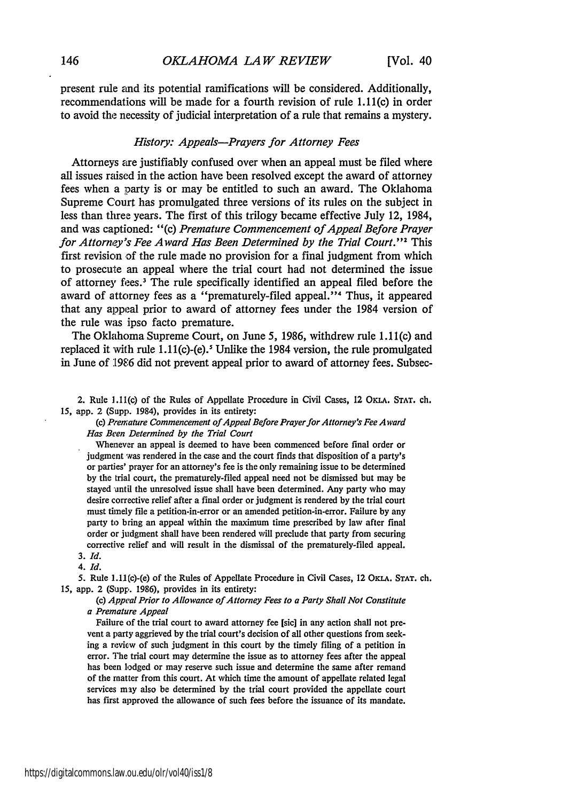present rule and its potential ramifications will be considered. Additionally, recommendations will be made for a fourth revision of rule 1.11(c) in order to avoid the necessity of judicial interpretation of a rule that remains a mystery.

#### *History: Appeals-Prayers for Attorney Fees*

Attorneys are justifiably confused over when an appeal must be filed where all issues raised in the action have been resolved except the award of attorney fees when a party is or may be entitled to such an award. The Oklahoma Supreme Court has promulgated three versions of its rules on the subject in less than three years. The first of this trilogy became effective July 12, 1984, and was captioned: "(c) *Premature Commencement of Appeal Before Prayer for Attorney's Fee Award Has Been Determined by the Trial Court. "I* This first revision of the rule made no provision for a final judgment from which to prosecute an appeal where the trial court had not determined the issue of attorney fees. 3 The rule specifically identified an appeal filed before the award of attorney fees as a "prematurely-filed appeal."<sup>4</sup> Thus, it appeared that any appeal prior to award of attorney fees under the 1984 version of the rule was ipso facto premature.

The Oklahoma Supreme Court, on June 5, 1986, withdrew rule 1.11 (c) and replaced it with rule  $1.11(c)$ -(e).<sup>5</sup> Unlike the 1984 version, the rule promulgated in June of **'[986** did not prevent appeal prior to award of attorney fees. Subsec-

2. Rule 1.11(c) of the Rules of Appellate Procedure in Civil Cases, 12 OKLA. **STAT.** ch. 15, app. 2 (Supp. 1984), provides in its entirety:

*(c) Premature Commencement of Appeal Before Prayer for Attorney's Fee A ward Has Been Determined by the Trial Court*

Whenever an appeal is deemed to have been commenced before final order or judgment was rendered in the case and the court finds that disposition of a party's or parties' prayer for an attorney's fee is the only remaining issue to be determined by the trial court, the prematurely-filed appeal need not be dismissed but may be stayed until the unresolved issue shall have been determined. Any party who may desire corrective relief after a final order or judgment is rendered by the trial court must timely file a petition-in-error or an amended petition-in-error. Failure by any party to bring an appeal within the maximum time prescribed by law after final order or judgment shall have been rendered will preclude that party from securing corrective relief and will result in the dismissal of the prematurely-filed appeal.

*3. Id.*

*4.* Id.

5. Rule 1.11(c)-(e) of the Rules of Appellate Procedure in Civil Cases, 12 OKIA. **STAT.** ch. 15, app. 2 (Supp. 1986), provides in its entirety:

(c) *Appeal Prior to Allowance of Attorney Fees to a Party Shall Not Constitute a Premature Appeal*

Failure of the trial court to award attorney fee [sic] in any action shall not prevent a party aggrieved by the trial court's decision of all other questions from seeking a review of such judgment in this court by the timely filing of a petition in error. The trial court may determine the issue as to attorney fees after the appeal has been lodged or may reserve such issue and determine the same after remand of the matter from this court. At which time the amount of appellate related legal services may also be determined by the trial court provided the appellate court has first approved the allowance of such fees before the issuance of its mandate.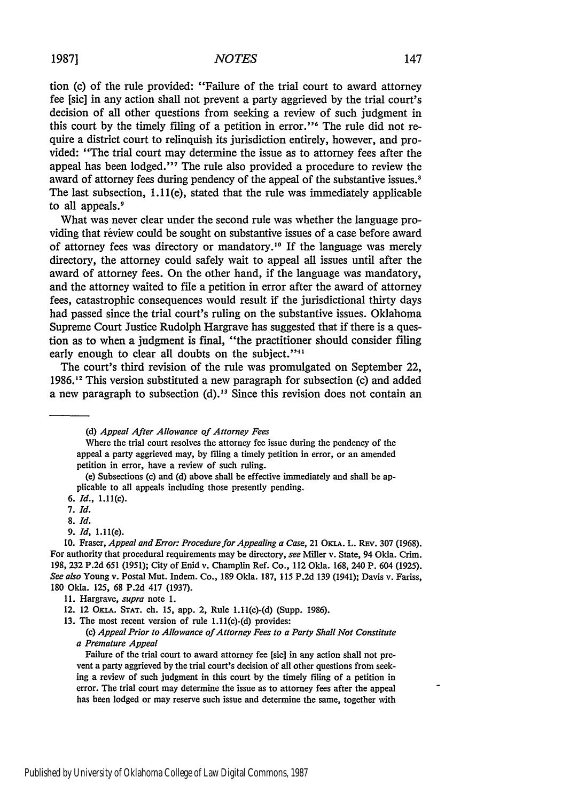tion (c) of the rule provided: "Failure of the trial court to award attorney fee [sic] in any action shall not prevent a party aggrieved by the trial court's decision of all other questions from seeking a review of such judgment in this court by the timely filing of a petition in error."' The rule did not require a district court to relinquish its jurisdiction entirely, however, and provided: "The trial court may determine the issue as to attorney fees after the appeal has been lodged.'" The rule also provided a procedure to review the award of attorney fees during pendency of the appeal of the substantive issues.' The last subsection, 1.11(e), stated that the rule was immediately applicable to all appeals.<sup>9</sup>

What was never clear under the second rule was whether the language providing that review could be sought on substantive issues of a case before award of attorney fees was directory or mandatory." If the language was merely directory, the attorney could safely wait to appeal all issues until after the award of attorney fees. On the other hand, if the language was mandatory, and the attorney waited to file a petition in error after the award of attorney fees, catastrophic consequences would result if the jurisdictional thirty days had passed since the trial court's ruling on the substantive issues. Oklahoma Supreme Court Justice Rudolph Hargrave has suggested that if there is a question as to when a judgment is final, "the practitioner should consider filing early enough to clear all doubts on the subject."<sup>11</sup>

The court's third revision of the rule was promulgated on September 22, 1986.<sup>12</sup> This version substituted a new paragraph for subsection (c) and added a new paragraph to subsection **(d)."** Since this revision does not contain an

Where the trial court resolves the attorney fee issue during the pendency of the appeal a party aggrieved may, **by** filing a timely petition in error, or an amended petition in error, have a review of such ruling.

(e) Subsections (c) and **(d)** above shall be effective immediately and shall be applicable to all appeals including those presently pending.

*7. Id.*

*9. ld,* 1.11(e).

**10.** Fraser, *Appeal and Error: Procedure for Appealing a Case,* <sup>21</sup>**OKLA.** L. **REv.** 307 (1968). For authority that procedural requirements may be directory, *see* Miller v. State, 94 Okla. Crim. 198, 232 P.2d 651 (1951); City of Enid v. Champlin Ref. Co., 112 Okla. 168, 240 P. 604 (1925). *See also* Young v. Postal Mut. Indem. Co., 189 Okla. 187, 115 P.2d 139 (1941); Davis v. Fariss, 180 Okla. 125, 68 P.2d 417 (1937).

**11.** Hargrave, *supra* note **1.**

13. The most recent version of rule 1.11(c)-(d) provides:

*(c) Appeal Prior to Allowance of Attorney Fees to a Party Shall Not Constitute a Premature Appeal*

Failure of the trial court to award attorney fee [sic] in any action shall not prevent a party aggrieved by the trial court's decision of all other questions from seeking a review of such judgment in this court by the timely filing of a petition in error. The trial court may determine the issue as to attorney fees after the appeal has been lodged or may reserve such issue and determine the same, together with

**<sup>(</sup>d)** *Appeal After Allowance of Attorney Fees*

*<sup>6.</sup> Id.,* **1.11(c).**

*<sup>8.</sup> Id.*

<sup>12. 12</sup> Oman. **STAT.** ch. 15, app. 2, Rule 1.11(c)-(d) (Supp. 1986).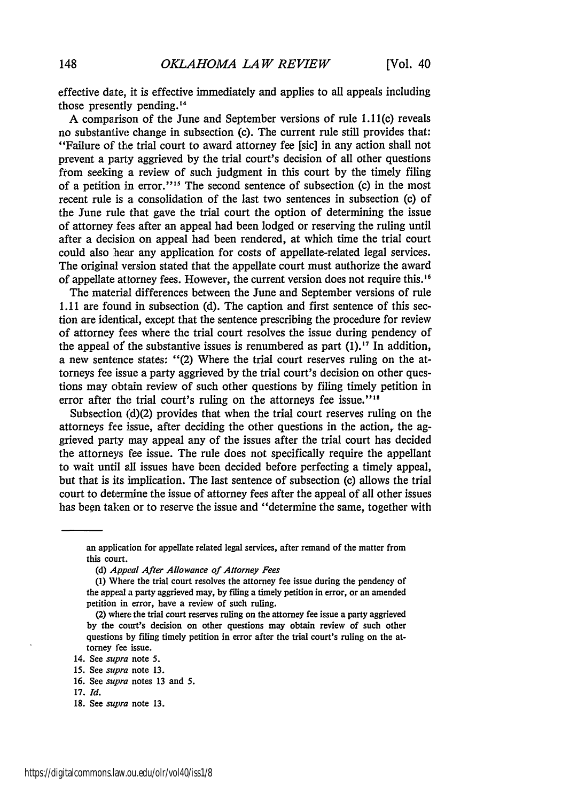effective date, it is effective immediately and applies to all appeals including those presently pending."

A comparison of the June and September versions of rule 1.11(c) reveals no substantive change in subsection (c). The current rule still provides that: "Failure of the trial court to award attorney fee [sic] in any action shall not prevent a party aggrieved by the trial court's decision of all other questions from seeking a review of such judgment in this court by the timely filing of a petition in error."<sup>15</sup> The second sentence of subsection (c) in the most recent rule is a consolidation of the last two sentences in subsection (c) of the June rule that gave the trial court the option of determining the issue of attorney fees after an appeal had been lodged or reserving the ruling until after a decision on appeal had been rendered, at which time the trial court could also hear any application for costs of appellate-related legal services. The original version stated that the appellate court must authorize the award of appellate attorney fees. However, the current version does not require this. **I 6**

The material differences between the June and September versions of rule 1.11 are found in subsection (d). The caption and first sentence of this section are identica, except that the sentence prescribing the procedure for review of attorney fees where the trial court resolves the issue during pendency of the appeal of the substantive issues is renumbered as part  $(1)$ .<sup>17</sup> In addition, a new sentence states: "(2) Where the trial court reserves ruling on the attorneys fee issue a party aggrieved by the trial court's decision on other questions may obtain review of such other questions **by** filing timely petition in error after the trial court's ruling on the attorneys fee issue."<sup>18</sup>

Subsection (d)(2) provides that when the trial court reserves ruling on the attorneys fee issue, after deciding the other questions in the action, the aggrieved party may appeal any of the issues after the trial court has decided the attorneys fee issue. The rule does not specifically require the appellant to wait until all issues have been decided before perfecting a timely appeal, but that is its implication. The last sentence of subsection (c) allows the trial court to determine the issue of attorney fees after the appeal of all other issues has been taken or to reserve the issue and "determine the same, together with

an application for appellate related legal services, after remand of the matter from this court.

**<sup>(</sup>d)** *Appeal After Allowance of Attorney Fees*

<sup>(1)</sup> Where the trial court resolves the attorney fee issue during the pendency of the appeal a party aggrieved may, by filing a timely petition in error, or an amended petition in error, have a review of such ruling.

<sup>(2)</sup> where the trial court reserves ruling on the attorney fee issue a party aggrieved by the court's decision on other questions may obtain review of such other questions by filing timely petition in error after the trial court's ruling on the attorney fee issue.

<sup>14.</sup> See *supra* note 5.

<sup>15.</sup> See *supra* note **13.**

**<sup>16.</sup>** See *supra* notes **13** and **5.**

<sup>17.</sup> *Id.*

<sup>18.</sup> See *supra* note 13.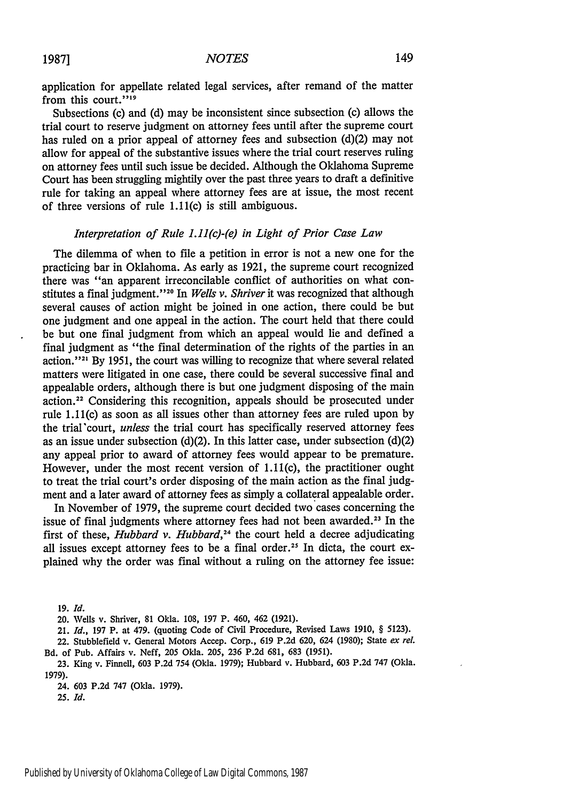application for appellate related legal services, after remand of the matter from this court."<sup>19</sup>

Subsections (c) and (d) may be inconsistent since subsection (c) allows the trial court to reserve judgment on attorney fees until after the supreme court has ruled on a prior appeal of attorney fees and subsection (d)(2) may not allow for appeal of the substantive issues where the trial court reserves ruling on attorney fees until such issue be decided. Although the Oklahoma Supreme Court has been struggling mightily over the past three years to draft a definitive rule for taking an appeal where attorney fees are at issue, the most recent of three versions of rule 1.11(c) is still ambiguous.

#### *Interpretation of Rule 1.11(c)-(e) in Light of Prior Case Law*

The dilemma of when to file a petition in error is not a new one for the practicing bar in Oklahoma. As early as 1921, the supreme court recognized there was "an apparent irreconcilable conflict of authorities on what constitutes a final judgment."<sup>20</sup> In *Wells v. Shriver* it was recognized that although several causes of action might be joined in one action, there could be but one judgment and one appeal in the action. The court held that there could be but one final judgment from which an appeal would lie and defined a final judgment as "the final determination of the rights of the parties in an action."<sup>21</sup> By 1951, the court was willing to recognize that where several related matters were litigated in one case, there could be several successive final and appealable orders, although there is but one judgment disposing of the main action. 22 Considering this recognition, appeals should be prosecuted under rule 1.11(c) as soon as all issues other than attorney fees are ruled upon by the trial'court, *unless* the trial court has specifically reserved attorney fees as an issue under subsection (d)(2). In this latter case, under subsection (d)(2) any appeal prior to award of attorney fees would appear to be premature. However, under the most recent version of 1.11(c), the practitioner ought to treat the trial court's order disposing of the main action as the final judgment and a later award of attorney fees as simply a collateral appealable order.

In November of 1979, the supreme court decided two cases concerning the issue of final judgments where attorney fees had not been awarded.<sup>23</sup> In the first of these, *Hubbard v. Hubbard*,<sup>24</sup> the court held a decree adjudicating all issues except attorney fees to be a final order.<sup>25</sup> In dicta, the court explained why the order was final without a ruling on the attorney fee issue:

19. *Id.*

21. *Id.,* 197 P. at 479. (quoting Code of Civil Procedure, Revised Laws 1910, § 5123).

- 22. Stubblefield v. General Motors Accep. Corp., 619 P.2d 620, 624 (1930); State *ex* rel. Bd. of Pub. Affairs v. Neff, 205 Okla. 205, 236 P.2d 681, 683 **(1951).**
- 23. King v. Finnell, 603 P.2d 754 (Okla. 1979); Hubbard v. Hubbard, 603 P.2d 747 (Okla. 1979).

24. 603 P.2d 747 (Okla. 1979).

25. *Id.*

<sup>20.</sup> Wells v. Shriver, 81 Okla. 108, 197 P. 460, 462 (1921).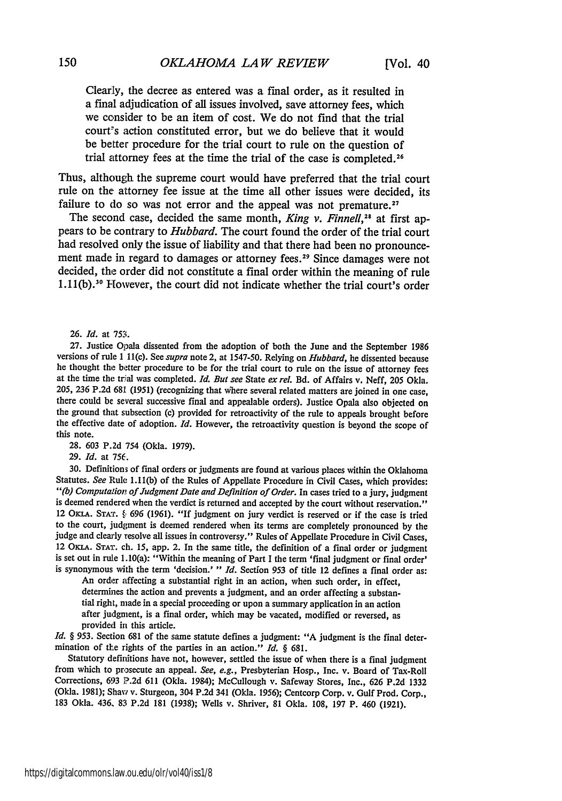Clearly, the decree as entered was a final order, as it resulted in a final adjudication of all issues involved, save attorney fees, which we consider to be an item of cost. We do not find that the trial court's action constituted error, but we do believe that it would be **better** procedure for the trial court to rule on the question of trial attorney fees at the time the trial of the case is completed.<sup>26</sup>

Thus, although the supreme court would have preferred that the trial court rule on the attorney fee issue at the time all other issues were decided, its failure to do so was not error and the appeal was not premature.<sup>27</sup>

The second case, decided the same month, *King v. Finnell*,<sup>28</sup> at first appears to be contrary to *Hubbard.* The court found the order of the trial court had resolved only the issue of liability and that there had been no pronouncement made in regard to damages or attorney **fees. <sup>29</sup>**Since damages were not decided, the order did not constitute a final order within the meaning of rule 1.11(b).<sup>30</sup> However, the court did not indicate whether the trial court's order

26. *Id.* at 753.

27. Justice Opala dissented from the adoption of both the June and the September 1986 versions of rule 1 II(c). See *supra* note 2, at 1547-50. Relying on *Hubbard,* he dissented because he thought the better procedure to be for the trial court to rule on the issue of attorney fees at the time the trial was completed. *Id. But see State ex rel.* Bd. of Affairs v. Neff, 205 Okla. 205, 236 P.2d 681 (1951) (recognizing that where several related matters are joined in one case, there could be several successive final and appealable orders). Justice Opala also objected on the ground that subsection (c) provided for retroactivity of the rule to appeals brought before the effective date of adoption. *Id.* However, the retroactivity question is beyond the scope of this note.

28. **603** P.2d 754 (Okla. 1979).

29. *Id.* at *756.*

30. Definitions of final orders or judgments are found at various places within the Oklahoma Statutes. *See* Rule 1.11(b) of the Rules of Appellate Procedure in Civil Cases, which provides:<br>"(b) Computation of Judgment Date and Definition of Order. In cases tried to a jury, judgment is deemed rendered when the verdict is returned and accepted by the court without reservation." 12 OKLA. STAT.  $\&$  696 (1961). "If judgment on jury verdict is reserved or if the case is tried to the court, judgment is deemed rendered when its terms are completely pronounced by the judge and clearly resolve all issues in controversy." Rules of Appellate Procedure in Civil Cases, 12 OKLA. STAT. ch. 15, app. 2. In the same title, the definition of a final order or judgment is set out in rule 1.10(a): "Within the meaning of Part I the term 'final judgment or final order' is synonymous with the term 'decision.' " *Id.* Section 953 of title 12 defines a final order as:<br>An order affecting a substantial right in an action, when such order, in effect,

determines the action and prevents a judgment, and an order affecting a substantial right, made in a special proceeding or upon a summary application in an action after judgment, is a final order, which may be vacated, modified or reversed, as provided in this article.

*Id. §* 953. Section 681 of the same statute defines a judgment: "A judgment is the final determination of tle rights of the parties in an action." *Id. §* 681.

Statutory definitions have not, however, settled the issue of when there is a final judgment from which to prosecute an appeal. *See, e.g.,* Presbyterian Hosp., Inc. v. Board of Tax-Roll Corrections, 693 P.2d 611 (Okla. 1984); McCullough v. Safeway Stores, Inc., 626 P.2d 1332 (Okla. 1981); Shaw' v. Sturgeon, 304 P.2d 341 (Okla. 1956); Centcorp Corp. v. Gulf Prod. Corp., 183 Okla. 436. 83 P.2d 181 (1938); Wells v. Shriver, 81 Okla. 108, 197 P. 460 (1921).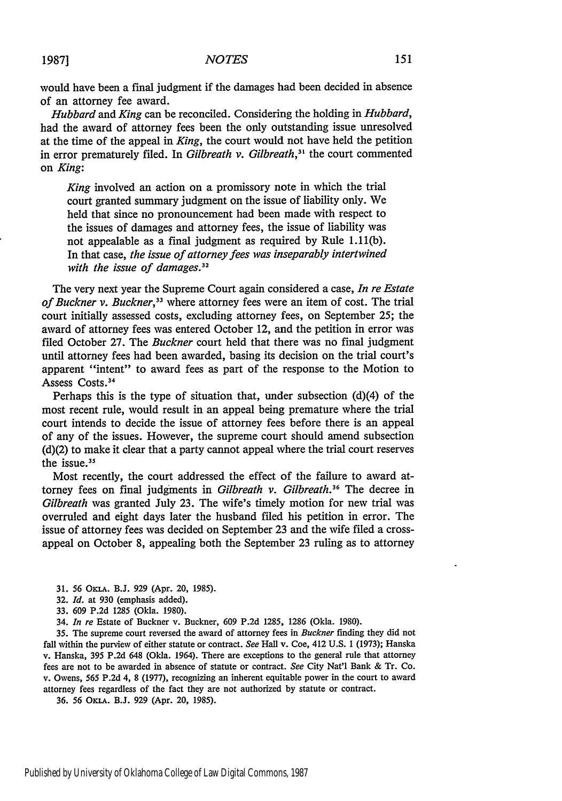would have been a final judgment if the damages had been decided in absence of an attorney fee award.

*Hubbard and King* can be reconciled. Considering the holding in *Hubbard,* had the award of attorney fees been the only outstanding issue unresolved at the time of the appeal in *King,* the court would not have held the petition in error prematurely filed. In *Gilbreath v. Gilbreath,31* the court commented on *King:*

*King* involved an action on a promissory note in which the trial court granted summary judgment on the issue of liability only. We held that since no pronouncement had been made with respect to the issues of damages and attorney fees, the issue of liability was not appealable as a final judgment as required by Rule 1.11(b). In that case, *the issue of attorney fees was inseparably intertwined with the issue of damages.32*

The very next year the Supreme Court again considered a case, *In re Estate of Buckner v. Buckner,3 3* where attorney fees were an item of cost. The trial court initially assessed costs, excluding attorney fees, on September 25; the award of attorney fees was entered October 12, and the petition in error was filed October 27. The *Buckner* court held that there was no final judgment until attorney fees had been awarded, basing its decision on the trial court's apparent "intent" to award fees as part of the response to the Motion to Assess Costs.<sup>34</sup>

Perhaps this is the type of situation that, under subsection (d)(4) of the most recent rule, would result in an appeal being premature where the trial court intends to decide the issue of attorney fees before there is an appeal of any of the issues. However, the supreme court should amend subsection (d)(2) to make it clear that a party cannot appeal where the trial court reserves the issue.<sup>35</sup>

Most recently, the court addressed the effect of the failure to award attorney fees on final judgments in *Gilbreath v. Gilbreath*.<sup>36</sup> The decree in *Gilbreath* was granted July 23. The wife's timely motion for new trial was overruled and eight days later the husband filed his petition in error. The issue of attorney fees was decided on September 23 and the wife filed a crossappeal on October 8, appealing both the September 23 ruling as to attorney

- 31. 56 OKLA. B.J. 929 (Apr. 20, 1985).
- 32. *Id.* at 930 (emphasis added).
- 33. 609 P.2d 1285 (Okla. 1980).
- 34. *In re* Estate of Buckner v. Buckner, 609 P.2d 1285, 1286 (Okla. 1980).

35. The supreme court reversed the award of attorney fees in Buckner finding they did not fall within the purview of either statute or contract. *See* Hall v. Coe, 412 U.S. **1** (1973); Hanska v. Hanska, 395 P.2d 648 (Okla. 1964). There are exceptions to the general rule that attorney fees are not to be awarded in absence of statute or contract. *See* City Nat'l Bank & Tr. Co. v. Owens, 565 P.2d 4, 8 (1977), recognizing an inherent equitable power in the court to award attorney fees regardless of the fact they are not authorized by statute or contract.

36. 56 OKLA. B.J. 929 (Apr. 20, 1985).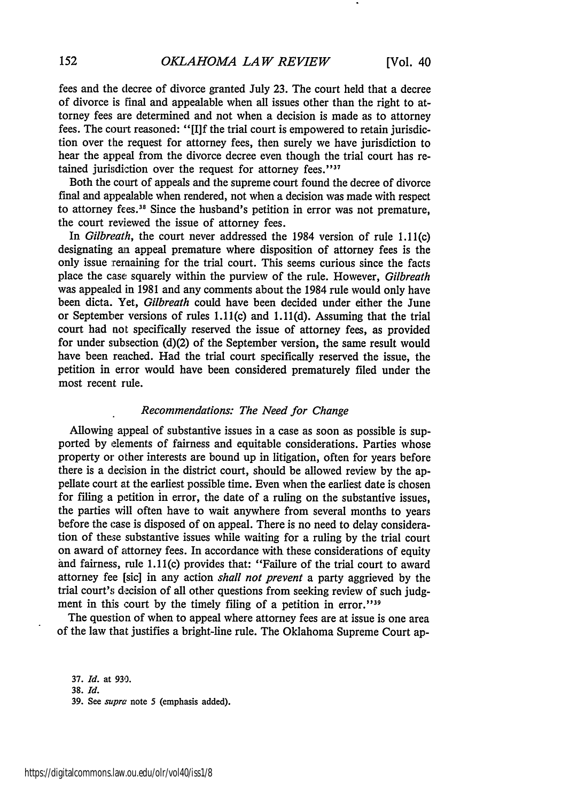fees and the decree of divorce granted July 23. The court held that a decree of divorce is final and appealable when all issues other than the right to attorney fees are determined and not when a decision is made as to attorney fees. The court reasoned: "[I]f the trial court is empowered to retain jurisdiction over the request for attorney fees, then surely we have jurisdiction to hear the appeal from the divorce decree even though the trial court has retained jurisdiction over the request for attorney fees."<sup>37</sup>

Both the court of appeals and the supreme court found the decree of divorce final and appealable when rendered, not when a decision was made with respect to attorney fees.38 Since the husband's petition in error was not premature, the court reviewed the issue of attorney fees.

In *Gilbreath,* the court never addressed the 1984 version of rule 1.11(c) designating an appeal premature where disposition of attorney fees is the only issue remaining for the trial court. This seems curious since the facts place the case squarely within the purview of the rule. However, *Gilbreath* was appealed in 1981 and any comments about the 1984 rule would only have been dicta. Yet, *Gilbreath* could have been decided under either the June or September versions of rules 1.11(c) and 1.11(d). Assuming that the trial court had not specifically reserved the issue of attorney fees, as provided for under subsection (d)(2) of the September version, the same result would have been reached. Had the trial court specifically reserved the issue, the petition in error would have been considered prematurely filed under the most recent rule.

#### *Recommendations: The Need for Change*

Allowing appeal of substantive issues in a case as soon as possible is supported by elements of fairness and equitable considerations. Parties whose property or other interests are bound up in litigation, often for years before there is a decision in the district court, should be allowed review by the appellate court at the earliest possible time. Even when the earliest date is chosen for filing a petition in error, the date of a ruling on the substantive issues, the parties will often have to wait anywhere from several months to years before the case is disposed of on appeal. There is no need to delay consideration of these substantive issues while waiting for a ruling by the trial court on award of attorney fees. In accordance with these considerations of equity and fairness, rule 1.11(c) provides that: "Failure of the trial court to award attorney fee [sic] in any action *shall not prevent* a party aggrieved by the trial court's decision of all other questions from seeking review of such judgment in this court by the timely filing of a petition in error."<sup>39</sup>

The question of when to appeal where attorney fees are at issue is one area of the law that justifies a bright-line rule. The Oklahoma Supreme Court ap-

37. *Id.* at 930. 38. *Id.* 39. See *supra* note 5 (emphasis added).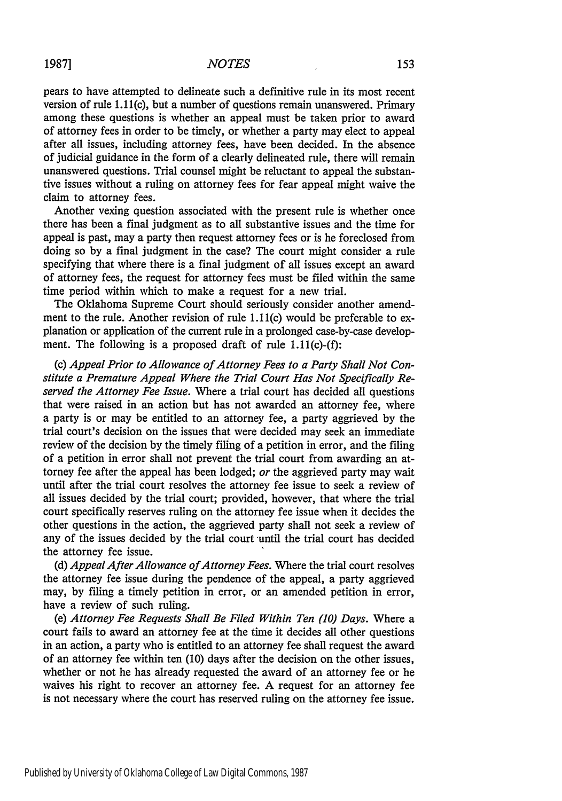pears to have attempted to delineate such a definitive rule in its most recent version of rule 1.11(c), but a number of questions remain unanswered. Primary among these questions is whether an appeal must be taken prior to award of attorney fees in order to be timely, or whether a party may elect to appeal after all issues, including attorney fees, have been decided. In the absence of judicial guidance in the form of a clearly delineated rule, there will remain unanswered questions. Trial counsel might be reluctant to appeal the substantive issues without a ruling on attorney fees for fear appeal might waive the claim to attorney fees.

Another vexing question associated with the present rule is whether once there has been a final judgment as to all substantive issues and the time for appeal is past, may a party then request attorney fees or is he foreclosed from doing so by a final judgment in the case? The court might consider a rule specifying that where there is a final judgment of all issues except an award of attorney fees, the request for attorney fees must be filed within the same time period within which to make a request for a new trial.

The Oklahoma Supreme Court should seriously consider another amendment to the rule. Another revision of rule 1.11(c) would be preferable to explanation or application of the current rule in a prolonged case-by-case development. The following is a proposed draft of rule 1.11(c)-(f):

(c) *Appeal Prior to Allowance of Attorney Fees to a Party Shall Not Constitute a Premature Appeal Where the Trial Court Has Not Specifically Reserved the Attorney Fee Issue.* Where a trial court has decided all questions that were raised in an action but has not awarded an attorney fee, where a party is or may be entitled to an attorney fee, a party aggrieved by the trial court's decision on the issues that were decided may seek an immediate review of the decision by the timely filing of a petition in error, and the filing of a petition in error shall not prevent the trial court from awarding an attorney fee after the appeal has been lodged; *or* the aggrieved party may wait until after the trial court resolves the attorney fee issue to seek a review of all issues decided by the trial court; provided, however, that where the trial court specifically reserves ruling on the attorney fee issue when it decides the other questions in the action, the aggrieved party shall not seek a review of any of the issues decided by the trial court until the trial court has decided the attorney fee issue.

*(d) Appeal After Allowance of Attorney Fees.* Where the trial court resolves the attorney fee issue during the pendence of the appeal, a party aggrieved may, by filing a timely petition in error, or an amended petition in error, have a review of such ruling.

*(e) Attorney Fee Requests Shall Be Filed Within Ten (10) Days.* Where a court fails to award an attorney fee at the time it decides all other questions in an action, a party who is entitled to an attorney fee shall request the award of an attorney fee within ten (10) days after the decision on the other issues, whether or not he has already requested the award of an attorney fee or he waives his right to recover an attorney fee. A request for an attorney fee is not necessary where the court has reserved ruling on the attorney fee issue.